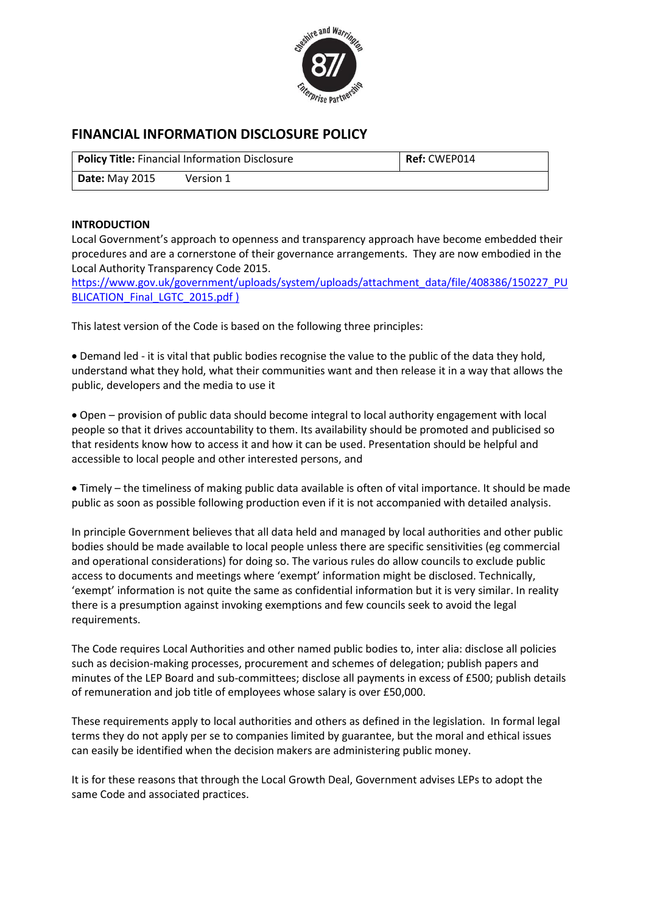

# **FINANCIAL INFORMATION DISCLOSURE POLICY**

| <b>Policy Title: Financial Information Disclosure</b> |           | <b>Ref: CWEP014</b> |
|-------------------------------------------------------|-----------|---------------------|
| <b>Date:</b> May 2015                                 | Version 1 |                     |

### **INTRODUCTION**

Local Government's approach to openness and transparency approach have become embedded their procedures and are a cornerstone of their governance arrangements. They are now embodied in the Local Authority Transparency Code 2015.

[https://www.gov.uk/government/uploads/system/uploads/attachment\\_data/file/408386/150227\\_PU](https://www.gov.uk/government/uploads/system/uploads/attachment_data/file/408386/150227_PUBLICATION_Final_LGTC_2015.pdf) [BLICATION\\_Final\\_LGTC\\_2015.pdf](https://www.gov.uk/government/uploads/system/uploads/attachment_data/file/408386/150227_PUBLICATION_Final_LGTC_2015.pdf) )

This latest version of the Code is based on the following three principles:

 Demand led - it is vital that public bodies recognise the value to the public of the data they hold, understand what they hold, what their communities want and then release it in a way that allows the public, developers and the media to use it

 Open – provision of public data should become integral to local authority engagement with local people so that it drives accountability to them. Its availability should be promoted and publicised so that residents know how to access it and how it can be used. Presentation should be helpful and accessible to local people and other interested persons, and

 Timely – the timeliness of making public data available is often of vital importance. It should be made public as soon as possible following production even if it is not accompanied with detailed analysis.

In principle Government believes that all data held and managed by local authorities and other public bodies should be made available to local people unless there are specific sensitivities (eg commercial and operational considerations) for doing so. The various rules do allow councils to exclude public access to documents and meetings where 'exempt' information might be disclosed. Technically, 'exempt' information is not quite the same as confidential information but it is very similar. In reality there is a presumption against invoking exemptions and few councils seek to avoid the legal requirements.

The Code requires Local Authorities and other named public bodies to, inter alia: disclose all policies such as decision-making processes, procurement and schemes of delegation; publish papers and minutes of the LEP Board and sub-committees; disclose all payments in excess of £500; publish details of remuneration and job title of employees whose salary is over £50,000.

These requirements apply to local authorities and others as defined in the legislation. In formal legal terms they do not apply per se to companies limited by guarantee, but the moral and ethical issues can easily be identified when the decision makers are administering public money.

It is for these reasons that through the Local Growth Deal, Government advises LEPs to adopt the same Code and associated practices.